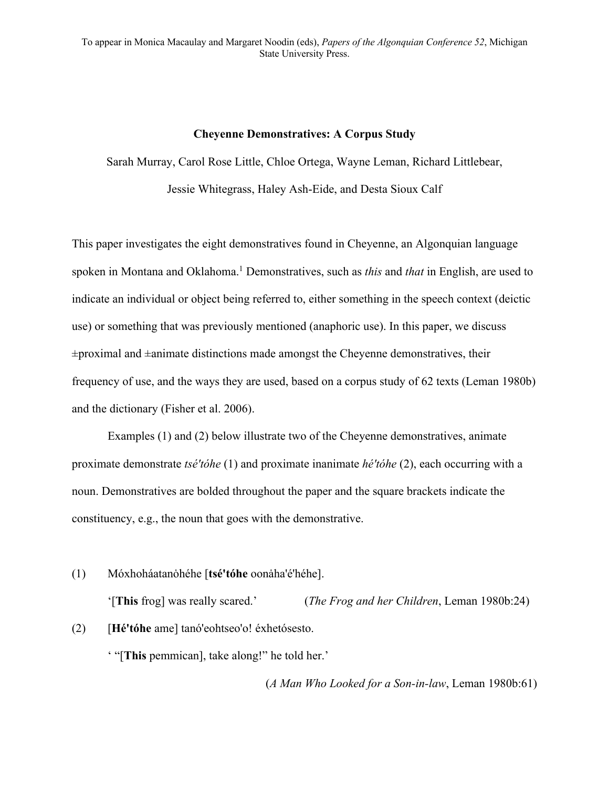#### **Cheyenne Demonstratives: A Corpus Study**

Sarah Murray, Carol Rose Little, Chloe Ortega, Wayne Leman, Richard Littlebear,

Jessie Whitegrass, Haley Ash-Eide, and Desta Sioux Calf

This paper investigates the eight demonstratives found in Cheyenne, an Algonquian language spoken in Montana and Oklahoma. <sup>1</sup> Demonstratives, such as *this* and *that* in English, are used to indicate an individual or object being referred to, either something in the speech context (deictic use) or something that was previously mentioned (anaphoric use). In this paper, we discuss  $\pm$ proximal and  $\pm$ animate distinctions made amongst the Cheyenne demonstratives, their frequency of use, and the ways they are used, based on a corpus study of 62 texts (Leman 1980b) and the dictionary (Fisher et al. 2006).

Examples (1) and (2) below illustrate two of the Cheyenne demonstratives, animate proximate demonstrate *tsé'tóhe* (1) and proximate inanimate *hé'tóhe* (2), each occurring with a noun. Demonstratives are bolded throughout the paper and the square brackets indicate the constituency, e.g., the noun that goes with the demonstrative.

(1) Móxhoháatanȯhéhe [**tsé'tóhe** oonȧha'é'héhe]. '[**This** frog] was really scared.' (*The Frog and her Children*, Leman 1980b:24) (2) [**Hé'tóhe** ame] tanó'eohtseo'o! éxhetósesto.

' "[**This** pemmican], take along!" he told her.'

(*A Man Who Looked for a Son-in-law*, Leman 1980b:61)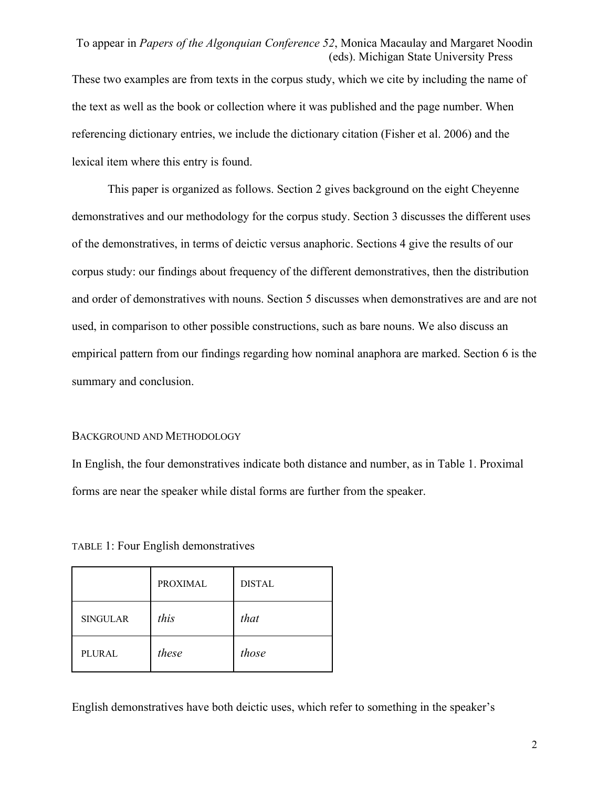These two examples are from texts in the corpus study, which we cite by including the name of the text as well as the book or collection where it was published and the page number. When referencing dictionary entries, we include the dictionary citation (Fisher et al. 2006) and the lexical item where this entry is found.

This paper is organized as follows. Section 2 gives background on the eight Cheyenne demonstratives and our methodology for the corpus study. Section 3 discusses the different uses of the demonstratives, in terms of deictic versus anaphoric. Sections 4 give the results of our corpus study: our findings about frequency of the different demonstratives, then the distribution and order of demonstratives with nouns. Section 5 discusses when demonstratives are and are not used, in comparison to other possible constructions, such as bare nouns. We also discuss an empirical pattern from our findings regarding how nominal anaphora are marked. Section 6 is the summary and conclusion.

#### BACKGROUND AND METHODOLOGY

In English, the four demonstratives indicate both distance and number, as in Table 1. Proximal forms are near the speaker while distal forms are further from the speaker.

TABLE 1: Four English demonstratives

|                 | <b>PROXIMAL</b> | <b>DISTAL</b> |
|-----------------|-----------------|---------------|
| <b>SINGULAR</b> | this            | that          |
| <b>PLURAL</b>   | these           | those         |

English demonstratives have both deictic uses, which refer to something in the speaker's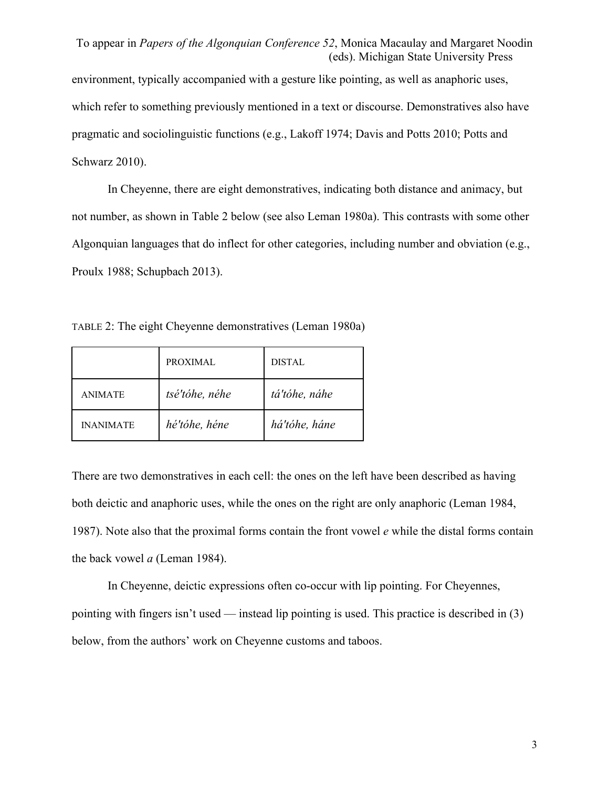To appear in *Papers of the Algonquian Conference 52*, Monica Macaulay and Margaret Noodin (eds). Michigan State University Press environment, typically accompanied with a gesture like pointing, as well as anaphoric uses, which refer to something previously mentioned in a text or discourse. Demonstratives also have pragmatic and sociolinguistic functions (e.g., Lakoff 1974; Davis and Potts 2010; Potts and Schwarz 2010).

In Cheyenne, there are eight demonstratives, indicating both distance and animacy, but not number, as shown in Table 2 below (see also Leman 1980a). This contrasts with some other Algonquian languages that do inflect for other categories, including number and obviation (e.g., Proulx 1988; Schupbach 2013).

TABLE 2: The eight Cheyenne demonstratives (Leman 1980a)

|                  | PROXIMAL       | <b>DISTAL</b> |
|------------------|----------------|---------------|
| <b>ANIMATE</b>   | tsé'tóhe, néhe | tá'tóhe, náhe |
| <b>INANIMATE</b> | hé'tóhe, héne  | há'tóhe, háne |

There are two demonstratives in each cell: the ones on the left have been described as having both deictic and anaphoric uses, while the ones on the right are only anaphoric (Leman 1984, 1987). Note also that the proximal forms contain the front vowel *e* while the distal forms contain the back vowel *a* (Leman 1984).

In Cheyenne, deictic expressions often co-occur with lip pointing. For Cheyennes, pointing with fingers isn't used — instead lip pointing is used. This practice is described in (3) below, from the authors' work on Cheyenne customs and taboos.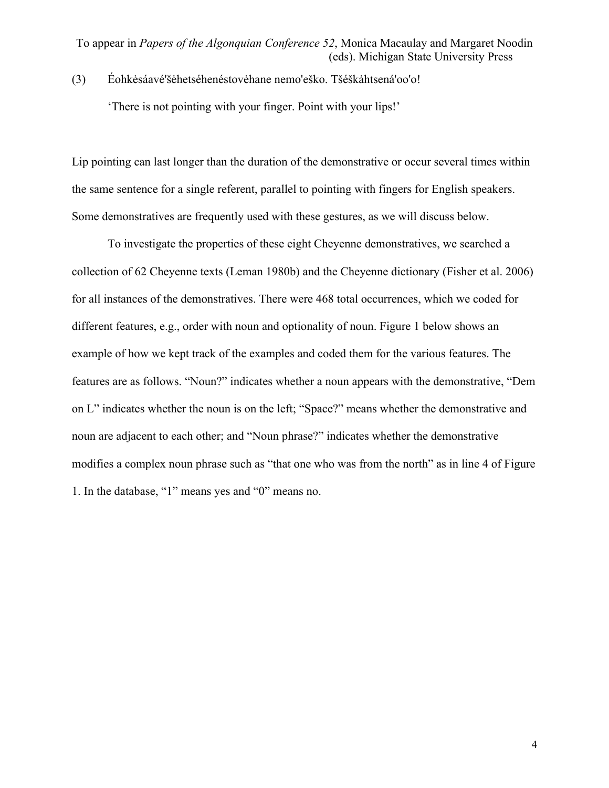(3) Éohkėsáavé'šėhetséhenéstovėhane nemo'eško. Tšéškahtsená'oo'o! 'There is not pointing with your finger. Point with your lips!'

Lip pointing can last longer than the duration of the demonstrative or occur several times within the same sentence for a single referent, parallel to pointing with fingers for English speakers. Some demonstratives are frequently used with these gestures, as we will discuss below.

To investigate the properties of these eight Cheyenne demonstratives, we searched a collection of 62 Cheyenne texts (Leman 1980b) and the Cheyenne dictionary (Fisher et al. 2006) for all instances of the demonstratives. There were 468 total occurrences, which we coded for different features, e.g., order with noun and optionality of noun. Figure 1 below shows an example of how we kept track of the examples and coded them for the various features. The features are as follows. "Noun?" indicates whether a noun appears with the demonstrative, "Dem on L" indicates whether the noun is on the left; "Space?" means whether the demonstrative and noun are adjacent to each other; and "Noun phrase?" indicates whether the demonstrative modifies a complex noun phrase such as "that one who was from the north" as in line 4 of Figure 1. In the database, "1" means yes and "0" means no.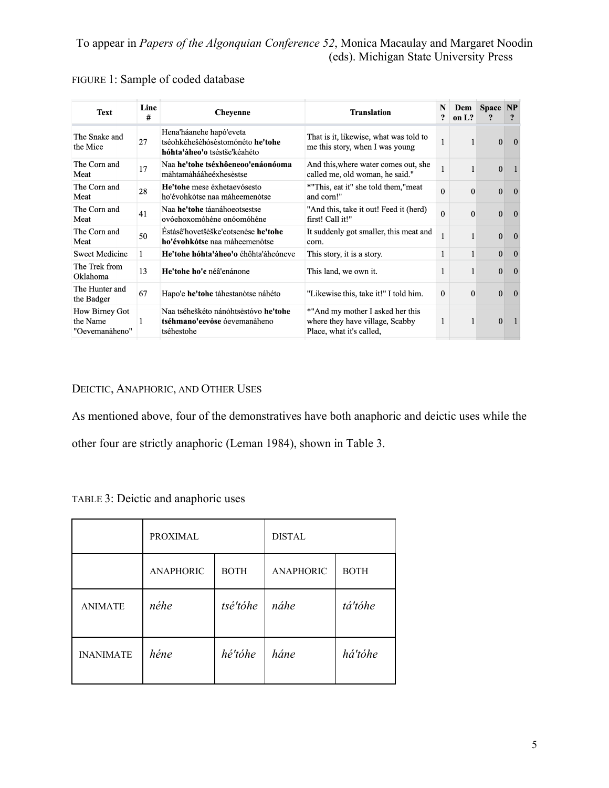| <b>Text</b>                                  | Line<br># | <b>Cheyenne</b>                                                                             | <b>Translation</b>                                                                              | N<br>$\mathbf{r}$ | Dem<br>on $L?$ | <b>Space</b> | <b>NP</b><br>$\overline{\mathbf{?}}$ |
|----------------------------------------------|-----------|---------------------------------------------------------------------------------------------|-------------------------------------------------------------------------------------------------|-------------------|----------------|--------------|--------------------------------------|
| The Snake and<br>the Mice                    | 27        | Hena'háanehe hapó'eveta<br>tséohkėhešėhósėstomónéto he'tohe<br>hóhta'aheo'o tséstše'kéahéto | That is it, likewise, what was told to<br>me this story, when I was young                       | 1                 | 1              | $\Omega$     | $\Omega$                             |
| The Corn and<br>Meat                         | 17        | Naa he'tohe tséxhôeneoo'enáonóoma<br>måhtamåhááheéxhesèstse                                 | And this, where water comes out, she<br>called me, old woman, he said."                         | 1                 | $\mathbf{1}$   | $\Omega$     |                                      |
| The Corn and<br>Meat                         | 28        | He'tohe mese éxhetaevósesto<br>ho'évohkotse naa maheemenotse                                | *"This, eat it" she told them,"meat<br>and corn!"                                               | $\Omega$          | $\Omega$       | $\mathbf{0}$ | $\Omega$                             |
| The Corn and<br>Meat                         | 41        | Naa he'tohe táanáhoeotsestse<br>ovóehoxomóhéne onóomóhéne                                   | "And this, take it out! Feed it (herd)<br>first! Call it!"                                      | $\Omega$          | $\Omega$       | $\mathbf{0}$ | $\Omega$                             |
| The Corn and<br>Meat                         | 50        | Éstasê'hovetšeške'eotsenese he'tohe<br>ho'évohkotse naa maheemenotse                        | It suddenly got smaller, this meat and<br>corn.                                                 | 1                 |                | $\theta$     | $\Omega$                             |
| <b>Sweet Medicine</b>                        | 1         | He'tohe hóhta'aheo'o éhôhta'aheóneve                                                        | This story, it is a story.                                                                      | 1                 | 1              | $\mathbf{0}$ | $\overline{0}$                       |
| The Trek from<br>Oklahoma                    | 13        | He'tohe ho'e néâ'enánone                                                                    | This land, we own it.                                                                           | 1                 | 1              | $\Omega$     | $\overline{0}$                       |
| The Hunter and<br>the Badger                 | 67        | Hapo'e he'tohe tahestanotse náhéto                                                          | "Likewise this, take it!" I told him.                                                           | $\mathbf{0}$      | $\Omega$       | $\Omega$     | $\overline{0}$                       |
| How Birney Got<br>the Name<br>"Oevemanåheno" |           | Naa tséheškéto nánohtsestóvo he'tohe<br>tséhmano'eevose óevemanaheno<br>tséhestohe          | *"And my mother I asked her this<br>where they have village, Scabby<br>Place, what it's called, | $\mathbf{1}$      | $\mathbf{1}$   | $\Omega$     |                                      |

## FIGURE 1: Sample of coded database

## DEICTIC, ANAPHORIC, AND OTHER USES

As mentioned above, four of the demonstratives have both anaphoric and deictic uses while the other four are strictly anaphoric (Leman 1984), shown in Table 3.

|  | TABLE 3: Deictic and anaphoric uses |  |
|--|-------------------------------------|--|
|  |                                     |  |

|                  | <b>PROXIMAL</b>  |             | <b>DISTAL</b>    |             |  |
|------------------|------------------|-------------|------------------|-------------|--|
|                  | <b>ANAPHORIC</b> | <b>BOTH</b> | <b>ANAPHORIC</b> | <b>BOTH</b> |  |
| <b>ANIMATE</b>   | néhe             | tsé'tóhe    | náhe             | tá'tóhe     |  |
| <b>INANIMATE</b> | héne             | hé'tóhe     | háne             | há'tóhe     |  |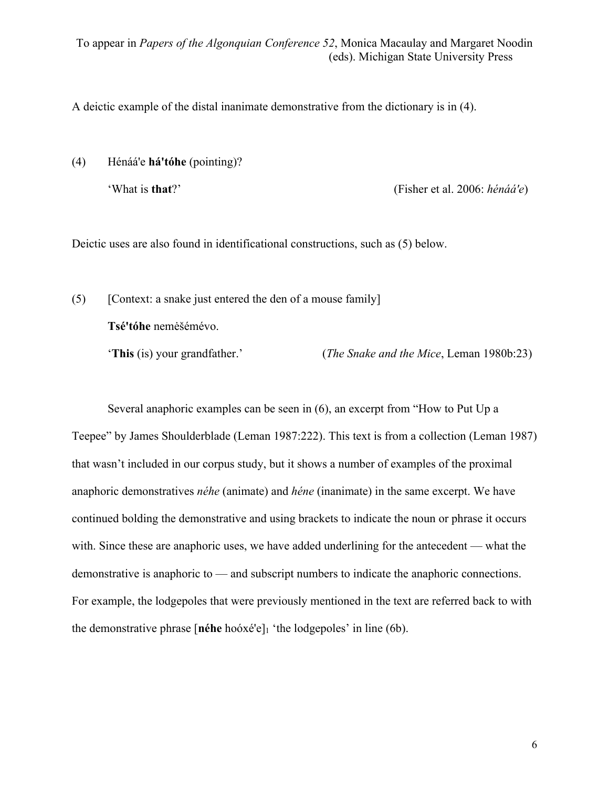A deictic example of the distal inanimate demonstrative from the dictionary is in (4).

(4) Hénáá'e **há'tóhe** (pointing)?

'What is **that**?' (Fisher et al. 2006: *hénáá'e*)

Deictic uses are also found in identificational constructions, such as (5) below.

(5) [Context: a snake just entered the den of a mouse family] **Tsé'tóhe** nemėšémévo.

'**This** (is) your grandfather.' (*The Snake and the Mice*, Leman 1980b:23)

Several anaphoric examples can be seen in (6), an excerpt from "How to Put Up a Teepee" by James Shoulderblade (Leman 1987:222). This text is from a collection (Leman 1987) that wasn't included in our corpus study, but it shows a number of examples of the proximal anaphoric demonstratives *néhe* (animate) and *héne* (inanimate) in the same excerpt. We have continued bolding the demonstrative and using brackets to indicate the noun or phrase it occurs with. Since these are anaphoric uses, we have added underlining for the antecedent — what the demonstrative is anaphoric to — and subscript numbers to indicate the anaphoric connections. For example, the lodgepoles that were previously mentioned in the text are referred back to with the demonstrative phrase [**néhe** hoóxé'e]1 'the lodgepoles' in line (6b).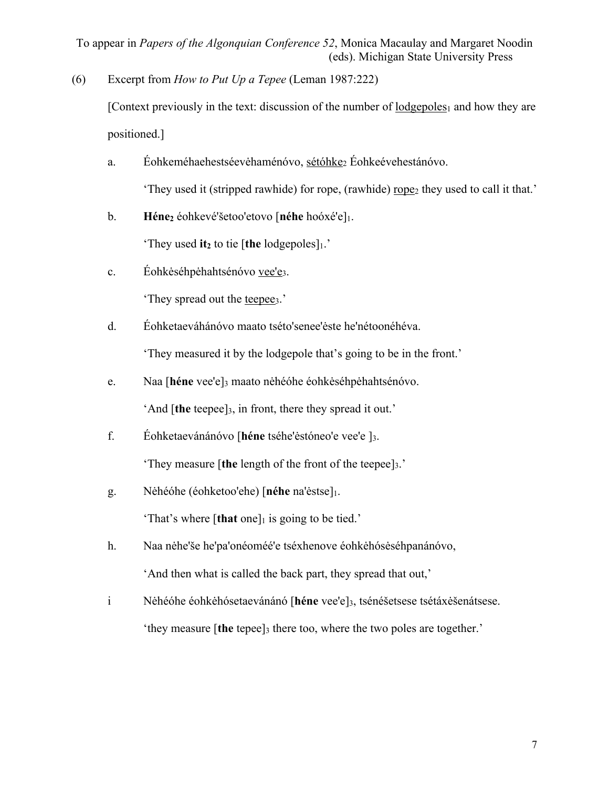(6) Excerpt from *How to Put Up a Tepee* (Leman 1987:222)

[Context previously in the text: discussion of the number of lodgepoles<sub>1</sub> and how they are positioned.]

a. Éohkeméhaehestséevėhaménóvo, sétóhke<sub>2</sub> Éohkeévehestánóvo.

'They used it (stripped rawhide) for rope, (rawhide) rope<sub>2</sub> they used to call it that.'

b. **Héne**<sub>2</sub> éohkevé'šetoo'etovo [néhe hoóxé'e]<sup>1</sup>.

'They used it<sub>2</sub> to tie [the lodgepoles] $<sub>1</sub>$ .'</sub>

c. Éohkėséhpėhahtsénóvo vee'e3.

'They spread out the teepee<sub>3</sub>.'

- d. Éohketaeváhánóvo maato tséto'senee'ėste he'nétoonéhéva. 'They measured it by the lodgepole that's going to be in the front.'
- e. Naa [**héne** vee'e]3 maato nėhéóhe éohkėséhpėhahtsénóvo.

'And [**the** teepee]3, in front, there they spread it out.'

f. Éohketaevánánóvo [**héne** tséhe'ėstóneo'e vee'e ]3.

'They measure [**the** length of the front of the teepee]3.'

g. Nėhéóhe (éohketoo'ehe) [**néhe** na'ėstse]1.

'That's where  $[that one]_1$  is going to be tied.'

- h. Naa nėhe'še he'pa'onéoméé'e tséxhenove éohkėhósėséhpanánóvo, 'And then what is called the back part, they spread that out,'
- i Nėhéóhe éohkėhósetaevánánó [**héne** vee'e]3, tsénéšetsese tsétáxėšenátsese. 'they measure [**the** tepee]3 there too, where the two poles are together.'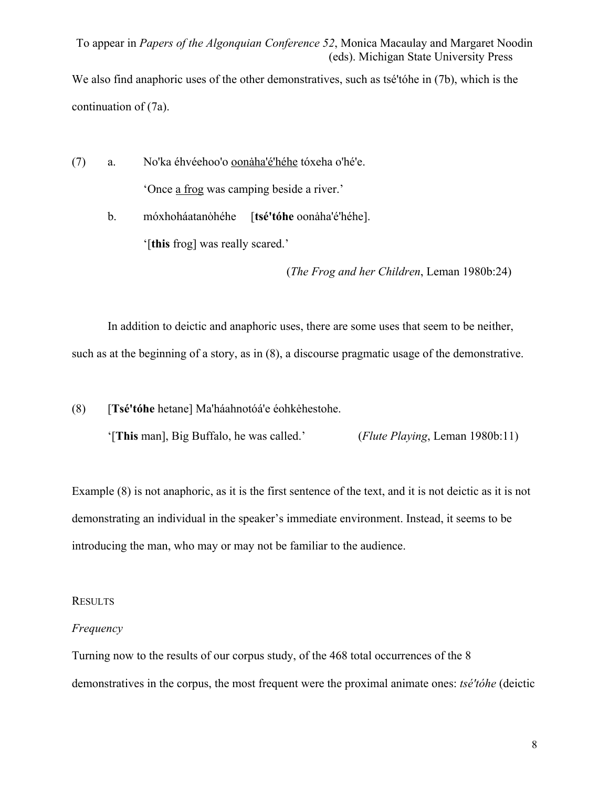We also find anaphoric uses of the other demonstratives, such as tsé'tóhe in (7b), which is the continuation of (7a).

(7) a. No'ka éhvéehoo'o oonaha'é'héhe tóxeha o'hé'e. 'Once a frog was camping beside a river.'

> b. móxhoháatanohéhe [tsé'tóhe oonaha'é'héhe]. '[**this** frog] was really scared.'

> > (*The Frog and her Children*, Leman 1980b:24)

In addition to deictic and anaphoric uses, there are some uses that seem to be neither, such as at the beginning of a story, as in (8), a discourse pragmatic usage of the demonstrative.

(8) [**Tsé'tóhe** hetane] Ma'háahnotóá'e éohkėhestohe.

'[**This** man], Big Buffalo, he was called.' (*Flute Playing*, Leman 1980b:11)

Example (8) is not anaphoric, as it is the first sentence of the text, and it is not deictic as it is not demonstrating an individual in the speaker's immediate environment. Instead, it seems to be introducing the man, who may or may not be familiar to the audience.

#### RESULTS

#### *Frequency*

Turning now to the results of our corpus study, of the 468 total occurrences of the 8 demonstratives in the corpus, the most frequent were the proximal animate ones: *tsé'tóhe* (deictic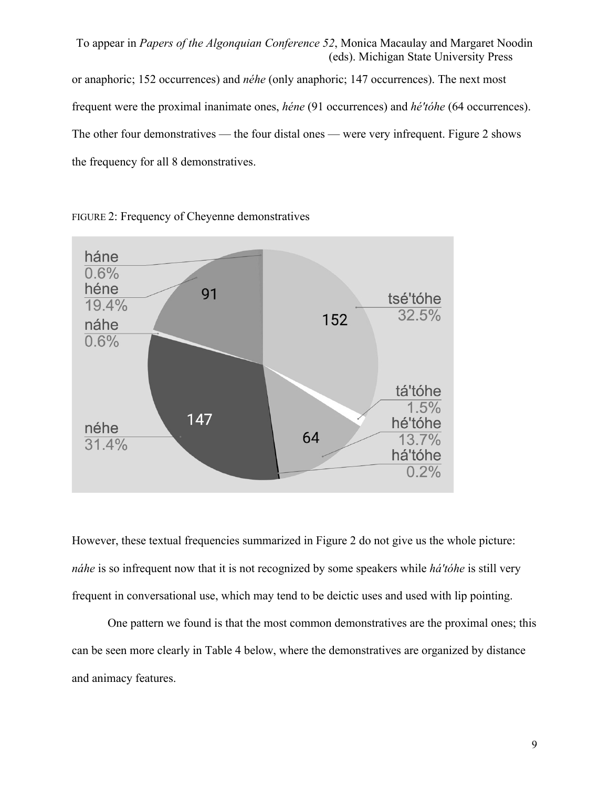To appear in *Papers of the Algonquian Conference 52*, Monica Macaulay and Margaret Noodin (eds). Michigan State University Press or anaphoric; 152 occurrences) and *néhe* (only anaphoric; 147 occurrences). The next most frequent were the proximal inanimate ones, *héne* (91 occurrences) and *hé'tóhe* (64 occurrences). The other four demonstratives — the four distal ones — were very infrequent. Figure 2 shows the frequency for all 8 demonstratives.



FIGURE 2: Frequency of Cheyenne demonstratives

However, these textual frequencies summarized in Figure 2 do not give us the whole picture: *náhe* is so infrequent now that it is not recognized by some speakers while *há'tóhe* is still very frequent in conversational use, which may tend to be deictic uses and used with lip pointing.

One pattern we found is that the most common demonstratives are the proximal ones; this can be seen more clearly in Table 4 below, where the demonstratives are organized by distance and animacy features.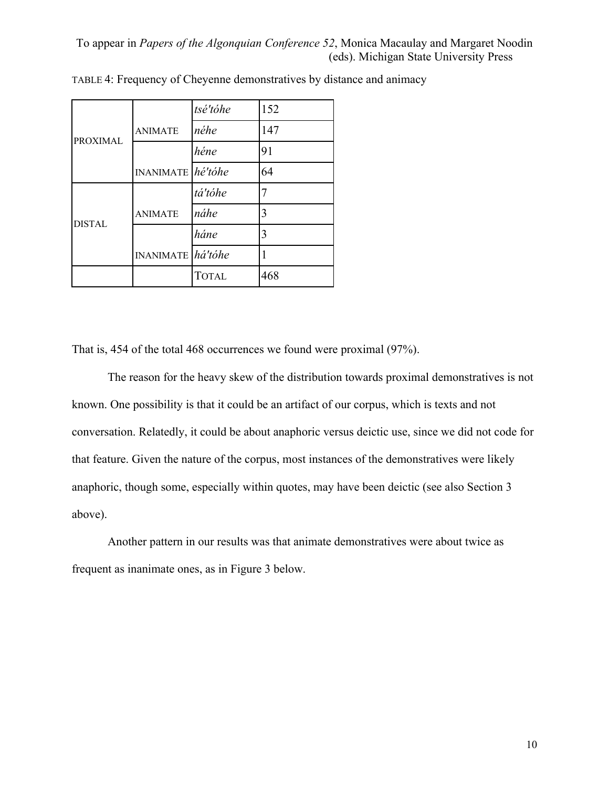|                 |                              | tsé'tóhe     | 152 |
|-----------------|------------------------------|--------------|-----|
| <b>PROXIMAL</b> | <b>ANIMATE</b>               | néhe         | 147 |
|                 |                              | héne         | 91  |
|                 | INANIMATE $h\acute{e}'$ tóhe |              | 64  |
|                 |                              | tá'tóhe      |     |
| <b>DISTAL</b>   | <b>ANIMATE</b>               | náhe         | 3   |
|                 |                              | háne         | 3   |
|                 | INANIMATE há'tóhe            |              |     |
|                 |                              | <b>TOTAL</b> | 468 |

TABLE 4: Frequency of Cheyenne demonstratives by distance and animacy

That is, 454 of the total 468 occurrences we found were proximal (97%).

The reason for the heavy skew of the distribution towards proximal demonstratives is not known. One possibility is that it could be an artifact of our corpus, which is texts and not conversation. Relatedly, it could be about anaphoric versus deictic use, since we did not code for that feature. Given the nature of the corpus, most instances of the demonstratives were likely anaphoric, though some, especially within quotes, may have been deictic (see also Section 3 above).

Another pattern in our results was that animate demonstratives were about twice as frequent as inanimate ones, as in Figure 3 below.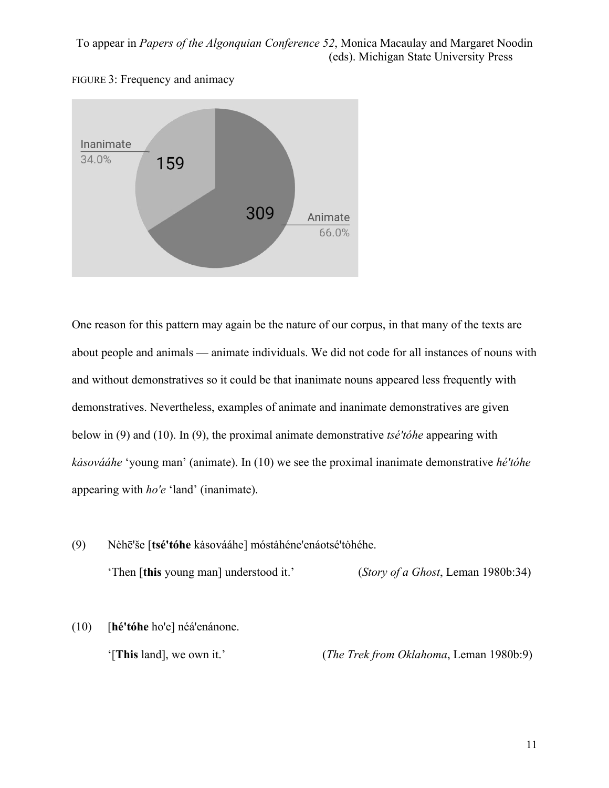



One reason for this pattern may again be the nature of our corpus, in that many of the texts are about people and animals — animate individuals. We did not code for all instances of nouns with and without demonstratives so it could be that inanimate nouns appeared less frequently with demonstratives. Nevertheless, examples of animate and inanimate demonstratives are given below in (9) and (10). In (9), the proximal animate demonstrative *tsé'tóhe* appearing with *kȧsovááhe* 'young man' (animate). In (10) we see the proximal inanimate demonstrative *hé'tóhe* appearing with *ho'e* 'land' (inanimate).

- (9) Nėhē'še [**tsé'tóhe** kȧsovááhe] móstȧhéne'enáotsé'tȯhéhe. 'Then [**this** young man] understood it.' (*Story of a Ghost*, Leman 1980b:34)
- (10) [**hé'tóhe** ho'e] néá'enánone. '[**This** land], we own it.' (*The Trek from Oklahoma*, Leman 1980b:9)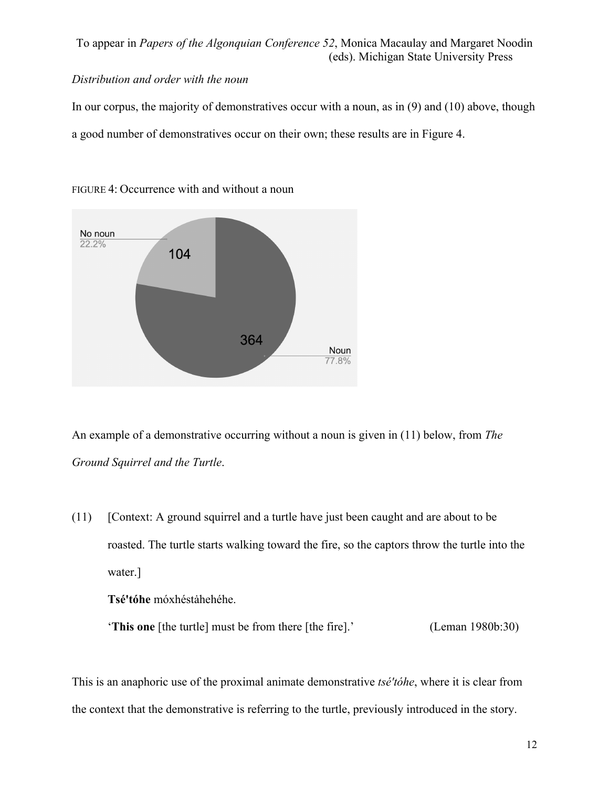## *Distribution and order with the noun*

In our corpus, the majority of demonstratives occur with a noun, as in (9) and (10) above, though a good number of demonstratives occur on their own; these results are in Figure 4.



FIGURE 4: Occurrence with and without a noun

An example of a demonstrative occurring without a noun is given in (11) below, from *The Ground Squirrel and the Turtle*.

(11) [Context: A ground squirrel and a turtle have just been caught and are about to be roasted. The turtle starts walking toward the fire, so the captors throw the turtle into the water.]

**Tsé'tóhe** móxhéstȧhehéhe.

'**This one** [the turtle] must be from there [the fire].' (Leman 1980b:30)

This is an anaphoric use of the proximal animate demonstrative *tsé'tóhe*, where it is clear from the context that the demonstrative is referring to the turtle, previously introduced in the story.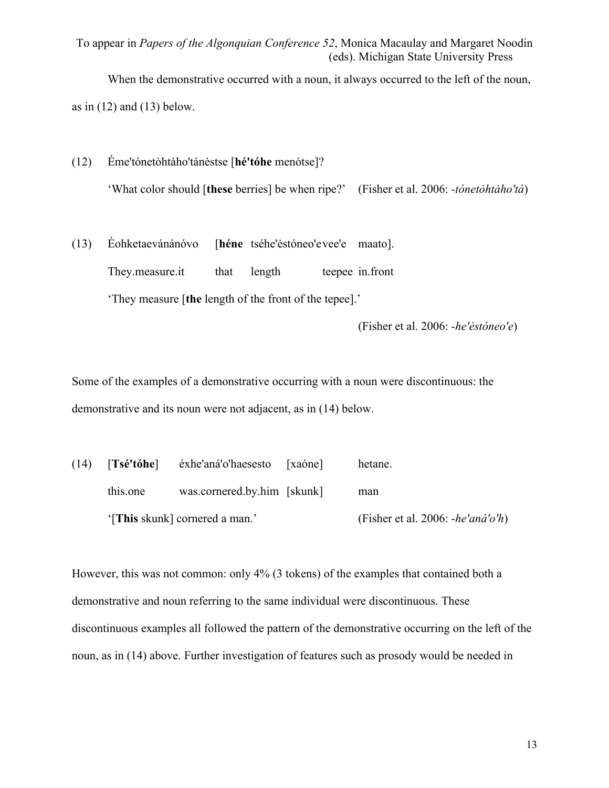When the demonstrative occurred with a noun, it always occurred to the left of the noun,

as in  $(12)$  and  $(13)$  below.

(12) Éme'tónetȯhtȧho'tánėstse [**hé'tóhe** menȯtse]? 'What color should [**these** berries] be when ripe?' (Fisher et al. 2006: *-tónetȯhtȧho'tá*)

# (13) Éohketaevánánóvo [**héne** tséhe'ėstóneo'evee'e maato]. They.measure.it that length teepee in.front 'They measure [**the** length of the front of the tepee].'

(Fisher et al. 2006: *-he'ėstóneo'e*)

Some of the examples of a demonstrative occurring with a noun were discontinuous: the demonstrative and its noun were not adjacent, as in (14) below.

(14) [**Tsé'tóhe**] éxhe'aná'o'haesesto [xaóne] hetane. this.one was.cornered.by.him [skunk] man '[**This** skunk] cornered a man.' (Fisher et al. 2006: -*he'aná'o'h*)

However, this was not common: only 4% (3 tokens) of the examples that contained both a demonstrative and noun referring to the same individual were discontinuous. These discontinuous examples all followed the pattern of the demonstrative occurring on the left of the noun, as in (14) above. Further investigation of features such as prosody would be needed in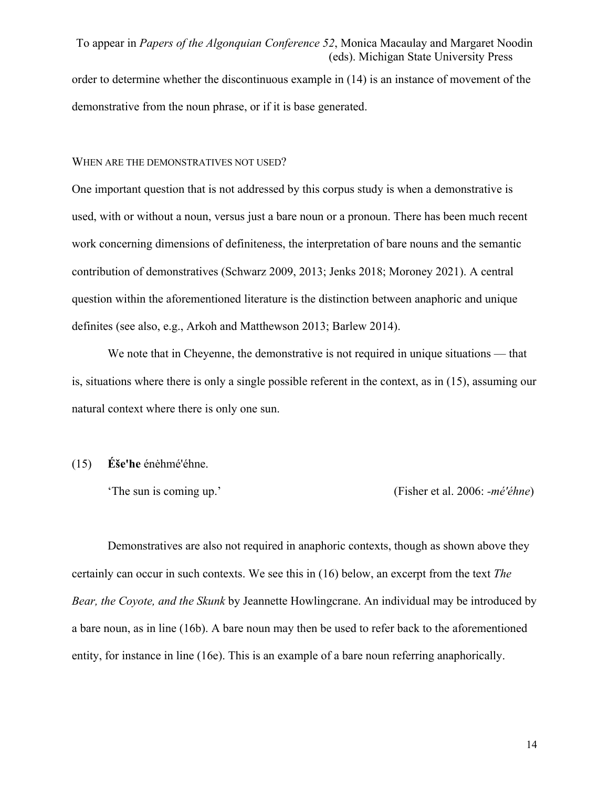order to determine whether the discontinuous example in (14) is an instance of movement of the demonstrative from the noun phrase, or if it is base generated.

#### WHEN ARE THE DEMONSTRATIVES NOT USED?

One important question that is not addressed by this corpus study is when a demonstrative is used, with or without a noun, versus just a bare noun or a pronoun. There has been much recent work concerning dimensions of definiteness, the interpretation of bare nouns and the semantic contribution of demonstratives (Schwarz 2009, 2013; Jenks 2018; Moroney 2021). A central question within the aforementioned literature is the distinction between anaphoric and unique definites (see also, e.g., Arkoh and Matthewson 2013; Barlew 2014).

We note that in Cheyenne, the demonstrative is not required in unique situations — that is, situations where there is only a single possible referent in the context, as in (15), assuming our natural context where there is only one sun.

#### (15) **Éše'he** énėhmé'éhne.

'The sun is coming up.' (Fisher et al. 2006: *-mé'éhne*)

Demonstratives are also not required in anaphoric contexts, though as shown above they certainly can occur in such contexts. We see this in (16) below, an excerpt from the text *The Bear, the Coyote, and the Skunk* by Jeannette Howlingcrane. An individual may be introduced by a bare noun, as in line (16b). A bare noun may then be used to refer back to the aforementioned entity, for instance in line (16e). This is an example of a bare noun referring anaphorically.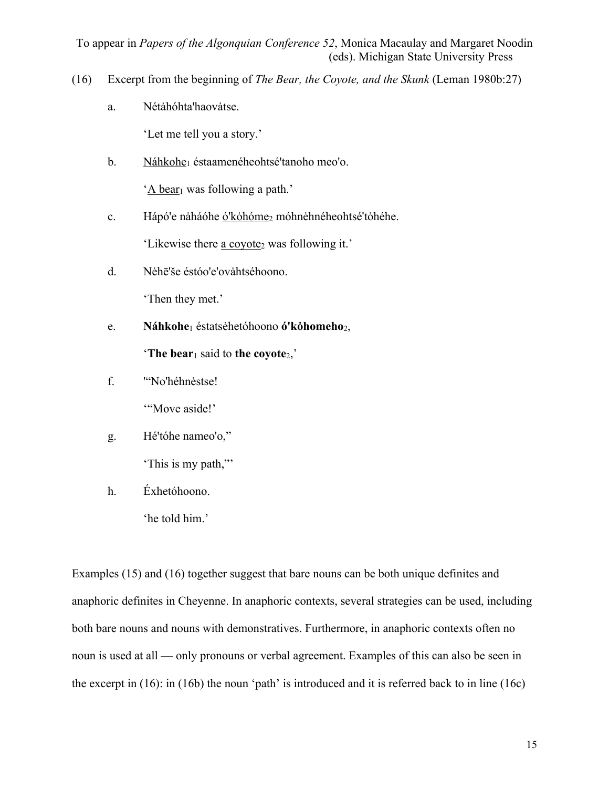- (16) Excerpt from the beginning of *The Bear, the Coyote, and the Skunk* (Leman 1980b:27)
	- a. Nétàhóhta'haovàtse.

'Let me tell you a story.'

b. Náhkohe<sub>1</sub> éstaamenéheohtsé'tanoho meo'o.

'A bear<sub>1</sub> was following a path.'

c. Hápó'e naháóhe ó'kohóme<sub>2</sub> móhnehnéheohtsé'tohéhe.

'Likewise there a coyote<sub>2</sub> was following it.'

d. Nėhē'še éstóo'e'ovàhtséhoono.

'Then they met.'

e. **Náhkohe**<sup>1</sup> éstatsėhetóhoono **ó'kȯhomeho**2,

'**The bear**<sup>1</sup> said to **the coyote**2,'

f. '"No'héhnėstse!

"Move aside!"

g. Hé'tóhe nameo'o,"

'This is my path,"'

h. Éxhetóhoono.

'he told him.'

Examples (15) and (16) together suggest that bare nouns can be both unique definites and anaphoric definites in Cheyenne. In anaphoric contexts, several strategies can be used, including both bare nouns and nouns with demonstratives. Furthermore, in anaphoric contexts often no noun is used at all — only pronouns or verbal agreement. Examples of this can also be seen in the excerpt in (16): in (16b) the noun 'path' is introduced and it is referred back to in line (16c)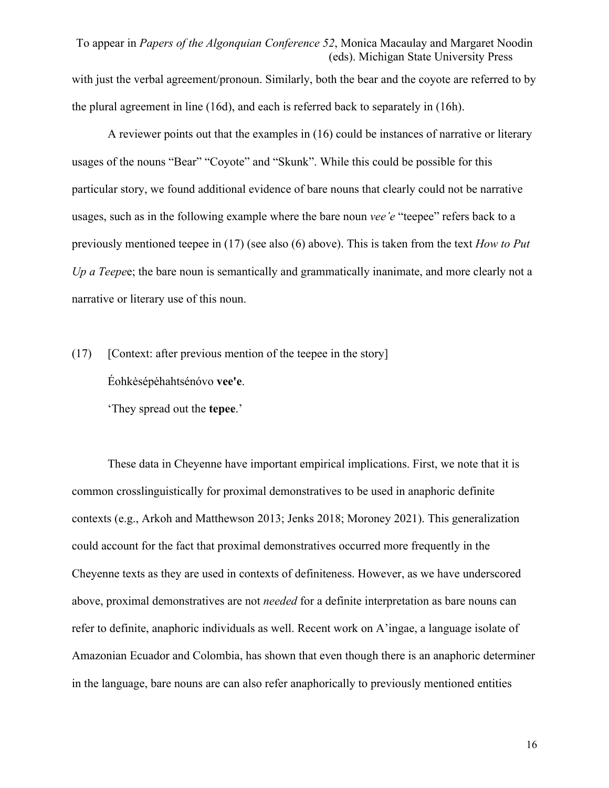with just the verbal agreement/pronoun. Similarly, both the bear and the coyote are referred to by the plural agreement in line (16d), and each is referred back to separately in (16h).

A reviewer points out that the examples in (16) could be instances of narrative or literary usages of the nouns "Bear" "Coyote" and "Skunk". While this could be possible for this particular story, we found additional evidence of bare nouns that clearly could not be narrative usages, such as in the following example where the bare noun *vee'e* "teepee" refers back to a previously mentioned teepee in (17) (see also (6) above). This is taken from the text *How to Put Up a Teepe*e; the bare noun is semantically and grammatically inanimate, and more clearly not a narrative or literary use of this noun.

 $(17)$  [Context: after previous mention of the teepee in the story] Éohkėsépėhahtsénóvo **vee'e**.

'They spread out the **tepee**.'

These data in Cheyenne have important empirical implications. First, we note that it is common crosslinguistically for proximal demonstratives to be used in anaphoric definite contexts (e.g., Arkoh and Matthewson 2013; Jenks 2018; Moroney 2021). This generalization could account for the fact that proximal demonstratives occurred more frequently in the Cheyenne texts as they are used in contexts of definiteness. However, as we have underscored above, proximal demonstratives are not *needed* for a definite interpretation as bare nouns can refer to definite, anaphoric individuals as well. Recent work on A'ingae, a language isolate of Amazonian Ecuador and Colombia, has shown that even though there is an anaphoric determiner in the language, bare nouns are can also refer anaphorically to previously mentioned entities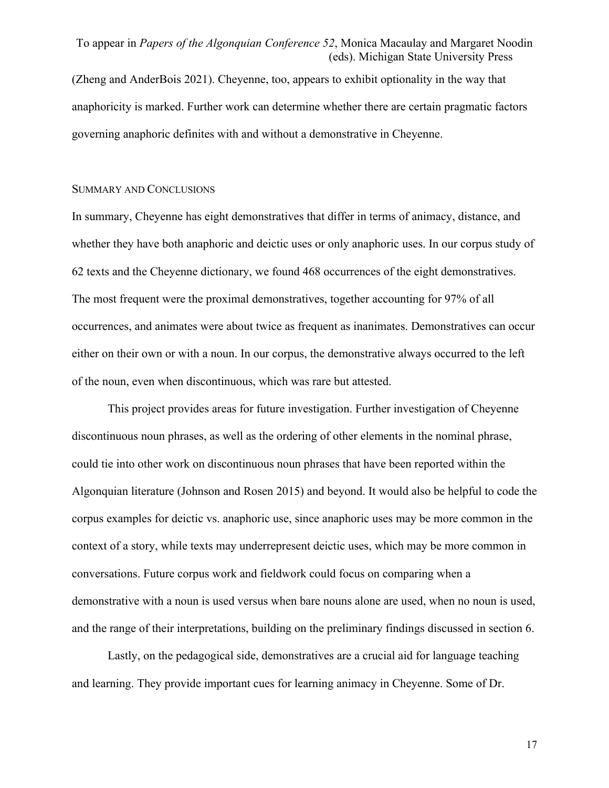(Zheng and AnderBois 2021). Cheyenne, too, appears to exhibit optionality in the way that anaphoricity is marked. Further work can determine whether there are certain pragmatic factors governing anaphoric definites with and without a demonstrative in Cheyenne.

#### SUMMARY AND CONCLUSIONS

In summary, Cheyenne has eight demonstratives that differ in terms of animacy, distance, and whether they have both anaphoric and deictic uses or only anaphoric uses. In our corpus study of 62 texts and the Cheyenne dictionary, we found 468 occurrences of the eight demonstratives. The most frequent were the proximal demonstratives, together accounting for 97% of all occurrences, and animates were about twice as frequent as inanimates. Demonstratives can occur either on their own or with a noun. In our corpus, the demonstrative always occurred to the left of the noun, even when discontinuous, which was rare but attested.

This project provides areas for future investigation. Further investigation of Cheyenne discontinuous noun phrases, as well as the ordering of other elements in the nominal phrase, could tie into other work on discontinuous noun phrases that have been reported within the Algonquian literature (Johnson and Rosen 2015) and beyond. It would also be helpful to code the corpus examples for deictic vs. anaphoric use, since anaphoric uses may be more common in the context of a story, while texts may underrepresent deictic uses, which may be more common in conversations. Future corpus work and fieldwork could focus on comparing when a demonstrative with a noun is used versus when bare nouns alone are used, when no noun is used, and the range of their interpretations, building on the preliminary findings discussed in section 6.

Lastly, on the pedagogical side, demonstratives are a crucial aid for language teaching and learning. They provide important cues for learning animacy in Cheyenne. Some of Dr.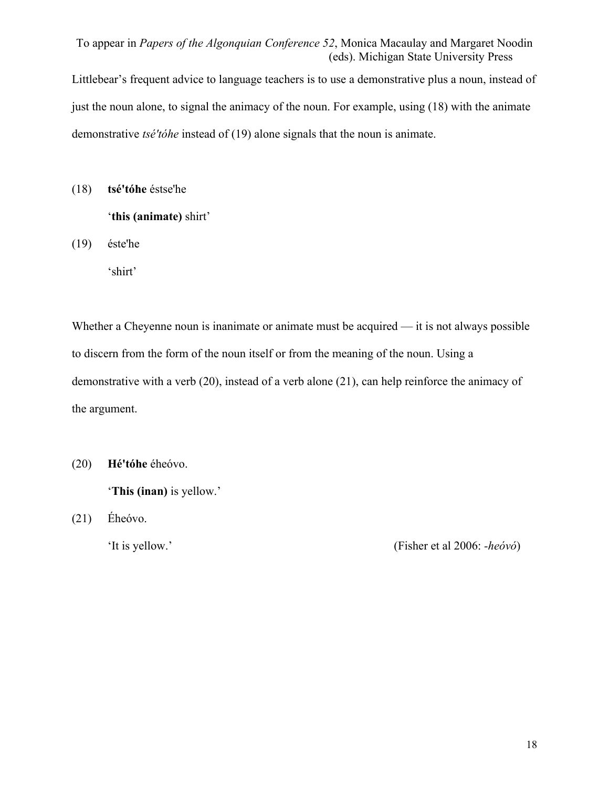Littlebear's frequent advice to language teachers is to use a demonstrative plus a noun, instead of just the noun alone, to signal the animacy of the noun. For example, using (18) with the animate demonstrative *tsé'tóhe* instead of (19) alone signals that the noun is animate.

(18) **tsé'tóhe** éstse'he

'**this (animate)** shirt'

(19) éste'he

'shirt'

Whether a Cheyenne noun is inanimate or animate must be acquired — it is not always possible to discern from the form of the noun itself or from the meaning of the noun. Using a demonstrative with a verb (20), instead of a verb alone (21), can help reinforce the animacy of the argument.

(20) **Hé'tóhe** éheóvo.

'**This (inan)** is yellow.'

(21) Éheóvo.

'It is yellow.' (Fisher et al 2006: *-heóvó*)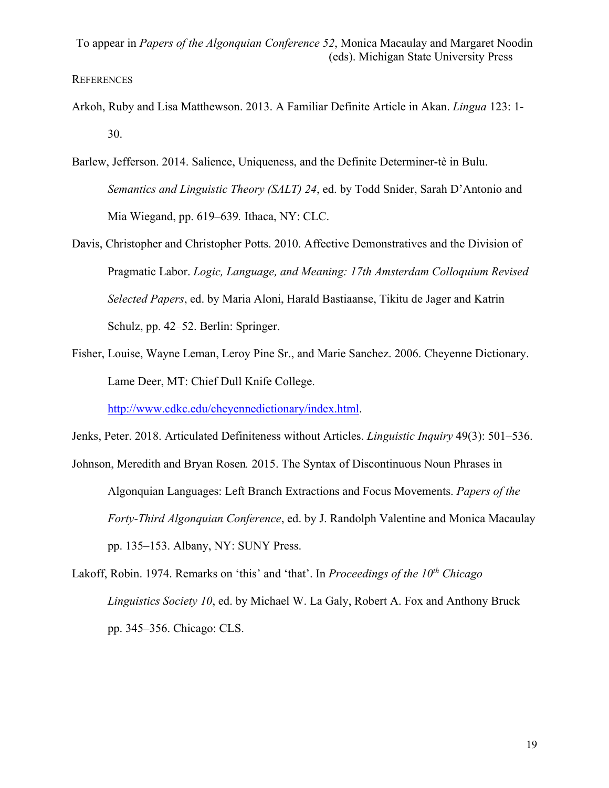## **REFERENCES**

- Arkoh, Ruby and Lisa Matthewson. 2013. A Familiar Definite Article in Akan. *Lingua* 123: 1- 30.
- Barlew, Jefferson. 2014. Salience, Uniqueness, and the Definite Determiner-tè in Bulu. *Semantics and Linguistic Theory (SALT) 24*, ed. by Todd Snider, Sarah D'Antonio and Mia Wiegand, pp. 619–639*.* Ithaca, NY: CLC.
- Davis, Christopher and Christopher Potts. 2010. Affective Demonstratives and the Division of Pragmatic Labor. *Logic, Language, and Meaning: 17th Amsterdam Colloquium Revised Selected Papers*, ed. by Maria Aloni, Harald Bastiaanse, Tikitu de Jager and Katrin Schulz, pp. 42–52. Berlin: Springer.
- Fisher, Louise, Wayne Leman, Leroy Pine Sr., and Marie Sanchez. 2006. Cheyenne Dictionary. Lame Deer, MT: Chief Dull Knife College.

http://www.cdkc.edu/cheyennedictionary/index.html.

Jenks, Peter. 2018. Articulated Definiteness without Articles. *Linguistic Inquiry* 49(3): 501–536.

Johnson, Meredith and Bryan Rosen*.* 2015. The Syntax of Discontinuous Noun Phrases in Algonquian Languages: Left Branch Extractions and Focus Movements. *Papers of the Forty-Third Algonquian Conference*, ed. by J. Randolph Valentine and Monica Macaulay pp. 135–153. Albany, NY: SUNY Press.

Lakoff, Robin. 1974. Remarks on 'this' and 'that'. In *Proceedings of the 10th Chicago Linguistics Society 10*, ed. by Michael W. La Galy, Robert A. Fox and Anthony Bruck pp. 345–356. Chicago: CLS.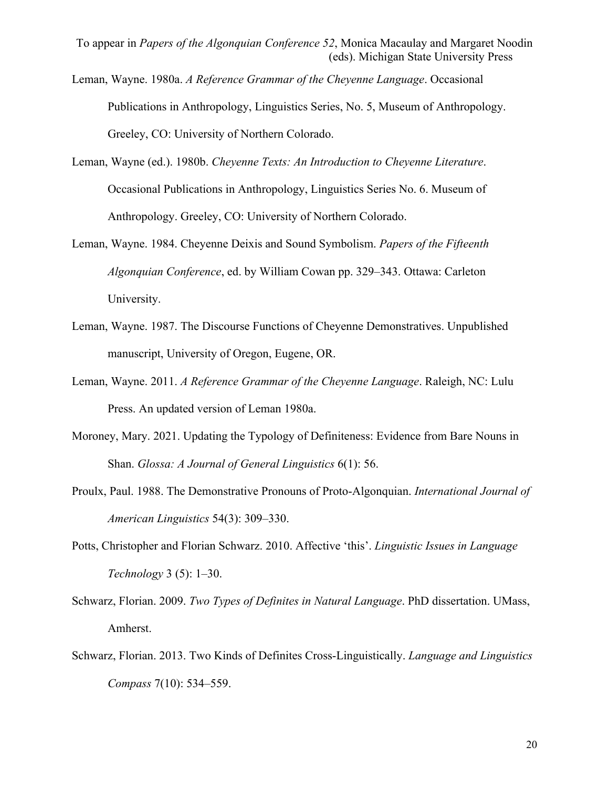- Leman, Wayne. 1980a. *A Reference Grammar of the Cheyenne Language*. Occasional Publications in Anthropology, Linguistics Series, No. 5, Museum of Anthropology. Greeley, CO: University of Northern Colorado.
- Leman, Wayne (ed.). 1980b. *Cheyenne Texts: An Introduction to Cheyenne Literature*. Occasional Publications in Anthropology, Linguistics Series No. 6. Museum of Anthropology. Greeley, CO: University of Northern Colorado.
- Leman, Wayne. 1984. Cheyenne Deixis and Sound Symbolism. *Papers of the Fifteenth Algonquian Conference*, ed. by William Cowan pp. 329–343. Ottawa: Carleton University.
- Leman, Wayne. 1987. The Discourse Functions of Cheyenne Demonstratives. Unpublished manuscript, University of Oregon, Eugene, OR.
- Leman, Wayne. 2011. *A Reference Grammar of the Cheyenne Language*. Raleigh, NC: Lulu Press. An updated version of Leman 1980a.
- Moroney, Mary. 2021. Updating the Typology of Definiteness: Evidence from Bare Nouns in Shan. *Glossa: A Journal of General Linguistics* 6(1): 56.
- Proulx, Paul. 1988. The Demonstrative Pronouns of Proto-Algonquian. *International Journal of American Linguistics* 54(3): 309–330.
- Potts, Christopher and Florian Schwarz. 2010. Affective 'this'. *Linguistic Issues in Language Technology* 3 (5): 1–30.
- Schwarz, Florian. 2009. *Two Types of Definites in Natural Language*. PhD dissertation. UMass, Amherst.
- Schwarz, Florian. 2013. Two Kinds of Definites Cross-Linguistically. *Language and Linguistics Compass* 7(10): 534–559.